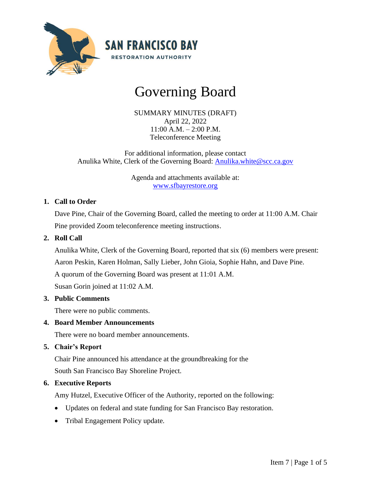

# Governing Board

SUMMARY MINUTES (DRAFT) April 22, 2022 11:00 A.M. – 2:00 P.M. Teleconference Meeting

For additional information, please contact Anulika White, Clerk of the Governing Board: [Anulika.white@scc.ca.gov](mailto:Anulika.white@scc.ca.gov)

> Agenda and attachments available at: [www.sfbayrestore.org](http://www.sfbayrestore.org/)

## **1. Call to Order**

Dave Pine, Chair of the Governing Board, called the meeting to order at 11:00 A.M. Chair Pine provided Zoom teleconference meeting instructions.

# **2. Roll Call**

Anulika White, Clerk of the Governing Board, reported that six (6) members were present:

Aaron Peskin, Karen Holman, Sally Lieber, John Gioia, Sophie Hahn, and Dave Pine.

A quorum of the Governing Board was present at 11:01 A.M.

Susan Gorin joined at 11:02 A.M.

## **3. Public Comments**

There were no public comments.

## **4. Board Member Announcements**

There were no board member announcements.

#### **5. Chair's Report**

Chair Pine announced his attendance at the groundbreaking for the South San Francisco Bay Shoreline Project.

## **6. Executive Reports**

Amy Hutzel, Executive Officer of the Authority, reported on the following:

- Updates on federal and state funding for San Francisco Bay restoration.
- Tribal Engagement Policy update.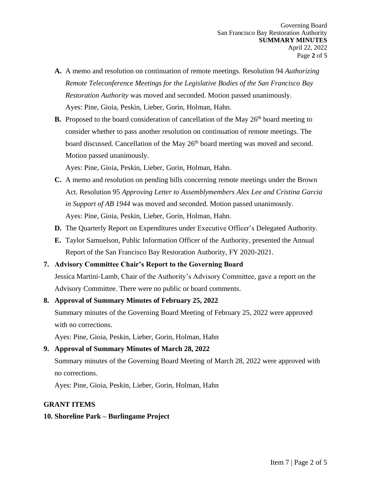- **A.** A memo and resolution on continuation of remote meetings. Resolution 94 *Authorizing Remote Teleconference Meetings for the Legislative Bodies of the San Francisco Bay Restoration Authority* was moved and seconded. Motion passed unanimously. Ayes: Pine, Gioia, Peskin, Lieber, Gorin, Holman, Hahn.
- **B.** Proposed to the board consideration of cancellation of the May  $26<sup>th</sup>$  board meeting to consider whether to pass another resolution on continuation of remote meetings. The board discussed. Cancellation of the May 26<sup>th</sup> board meeting was moved and second. Motion passed unanimously.

Ayes: Pine, Gioia, Peskin, Lieber, Gorin, Holman, Hahn.

- **C.** A memo and resolution on pending bills concerning remote meetings under the Brown Act. Resolution 95 *Approving Letter to Assemblymembers Alex Lee and Cristina Garcia in Support of AB 1944* was moved and seconded. Motion passed unanimously. Ayes: Pine, Gioia, Peskin, Lieber, Gorin, Holman, Hahn.
- **D.** The Quarterly Report on Expenditures under Executive Officer's Delegated Authority.
- **E.** Taylor Samuelson, Public Information Officer of the Authority, presented the Annual Report of the San Francisco Bay Restoration Authority, FY 2020-2021.

#### **7. Advisory Committee Chair's Report to the Governing Board**

Jessica Martini-Lamb, Chair of the Authority's Advisory Committee, gave a report on the Advisory Committee. There were no public or board comments.

#### **8. Approval of Summary Minutes of February 25, 2022**

Summary minutes of the Governing Board Meeting of February 25, 2022 were approved with no corrections.

Ayes: Pine, Gioia, Peskin, Lieber, Gorin, Holman, Hahn

**9. Approval of Summary Minutes of March 28, 2022**

Summary minutes of the Governing Board Meeting of March 28, 2022 were approved with no corrections.

Ayes: Pine, Gioia, Peskin, Lieber, Gorin, Holman, Hahn

#### **GRANT ITEMS**

## **10. Shoreline Park – Burlingame Project**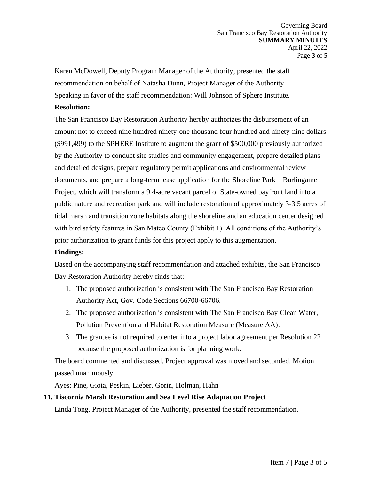Karen McDowell, Deputy Program Manager of the Authority, presented the staff recommendation on behalf of Natasha Dunn, Project Manager of the Authority. Speaking in favor of the staff recommendation: Will Johnson of Sphere Institute.

#### **Resolution:**

The San Francisco Bay Restoration Authority hereby authorizes the disbursement of an amount not to exceed nine hundred ninety-one thousand four hundred and ninety-nine dollars (\$991,499) to the SPHERE Institute to augment the grant of \$500,000 previously authorized by the Authority to conduct site studies and community engagement, prepare detailed plans and detailed designs, prepare regulatory permit applications and environmental review documents, and prepare a long-term lease application for the Shoreline Park – Burlingame Project, which will transform a 9.4-acre vacant parcel of State-owned bayfront land into a public nature and recreation park and will include restoration of approximately 3-3.5 acres of tidal marsh and transition zone habitats along the shoreline and an education center designed with bird safety features in San Mateo County (Exhibit 1). All conditions of the Authority's prior authorization to grant funds for this project apply to this augmentation.

#### **Findings:**

Based on the accompanying staff recommendation and attached exhibits, the San Francisco Bay Restoration Authority hereby finds that:

- 1. The proposed authorization is consistent with The San Francisco Bay Restoration Authority Act, Gov. Code Sections 66700-66706.
- 2. The proposed authorization is consistent with The San Francisco Bay Clean Water, Pollution Prevention and Habitat Restoration Measure (Measure AA).
- 3. The grantee is not required to enter into a project labor agreement per Resolution 22 because the proposed authorization is for planning work.

The board commented and discussed. Project approval was moved and seconded. Motion passed unanimously.

Ayes: Pine, Gioia, Peskin, Lieber, Gorin, Holman, Hahn

## **11. Tiscornia Marsh Restoration and Sea Level Rise Adaptation Project**

Linda Tong, Project Manager of the Authority, presented the staff recommendation.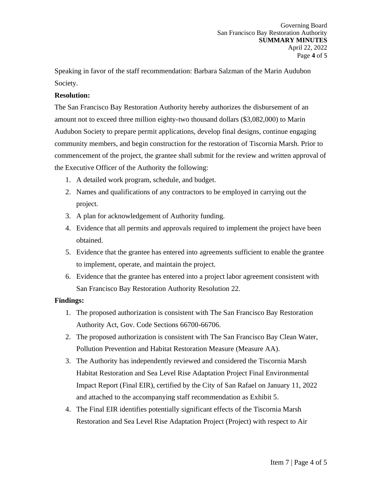Speaking in favor of the staff recommendation: Barbara Salzman of the Marin Audubon Society.

## **Resolution:**

The San Francisco Bay Restoration Authority hereby authorizes the disbursement of an amount not to exceed three million eighty-two thousand dollars (\$3,082,000) to Marin Audubon Society to prepare permit applications, develop final designs, continue engaging community members, and begin construction for the restoration of Tiscornia Marsh. Prior to commencement of the project, the grantee shall submit for the review and written approval of the Executive Officer of the Authority the following:

- 1. A detailed work program, schedule, and budget.
- 2. Names and qualifications of any contractors to be employed in carrying out the project.
- 3. A plan for acknowledgement of Authority funding.
- 4. Evidence that all permits and approvals required to implement the project have been obtained.
- 5. Evidence that the grantee has entered into agreements sufficient to enable the grantee to implement, operate, and maintain the project.
- 6. Evidence that the grantee has entered into a project labor agreement consistent with San Francisco Bay Restoration Authority Resolution 22.

#### **Findings:**

- 1. The proposed authorization is consistent with The San Francisco Bay Restoration Authority Act, Gov. Code Sections 66700-66706.
- 2. The proposed authorization is consistent with The San Francisco Bay Clean Water, Pollution Prevention and Habitat Restoration Measure (Measure AA).
- 3. The Authority has independently reviewed and considered the Tiscornia Marsh Habitat Restoration and Sea Level Rise Adaptation Project Final Environmental Impact Report (Final EIR), certified by the City of San Rafael on January 11, 2022 and attached to the accompanying staff recommendation as Exhibit 5.
- 4. The Final EIR identifies potentially significant effects of the Tiscornia Marsh Restoration and Sea Level Rise Adaptation Project (Project) with respect to Air